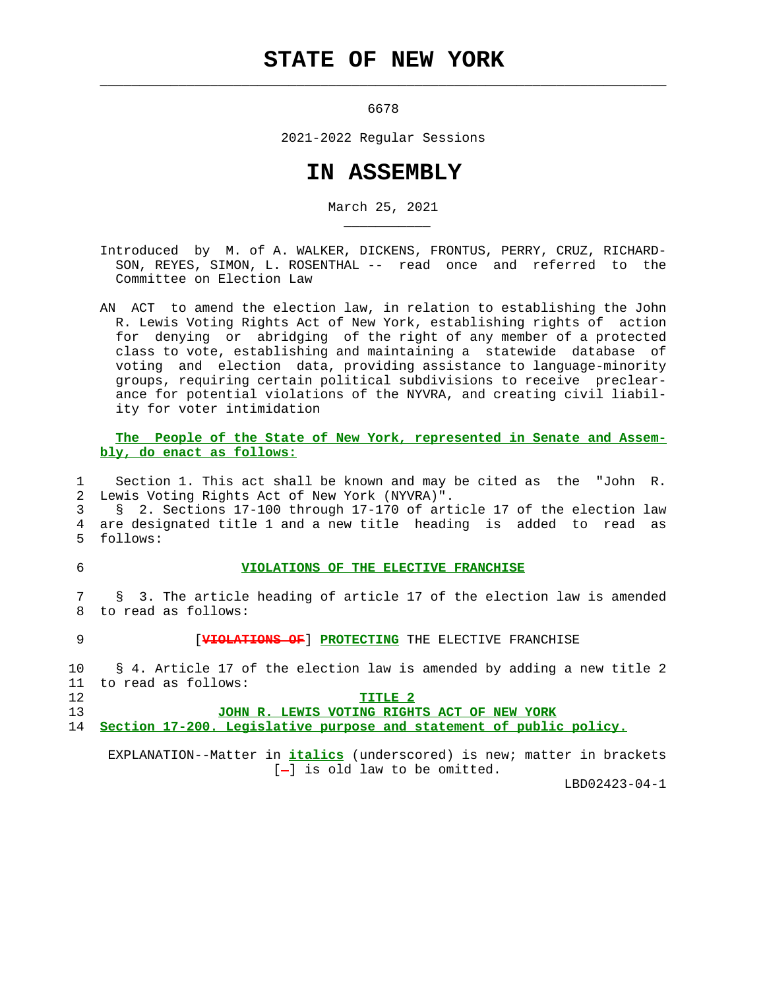## **STATE OF NEW YORK**

 $\mathcal{L}_\text{max} = \frac{1}{2} \sum_{i=1}^{n} \frac{1}{2} \sum_{i=1}^{n} \frac{1}{2} \sum_{i=1}^{n} \frac{1}{2} \sum_{i=1}^{n} \frac{1}{2} \sum_{i=1}^{n} \frac{1}{2} \sum_{i=1}^{n} \frac{1}{2} \sum_{i=1}^{n} \frac{1}{2} \sum_{i=1}^{n} \frac{1}{2} \sum_{i=1}^{n} \frac{1}{2} \sum_{i=1}^{n} \frac{1}{2} \sum_{i=1}^{n} \frac{1}{2} \sum_{i=1}^{n} \frac{1$ 

\_\_\_\_\_\_\_\_\_\_\_

6678

2021-2022 Regular Sessions

## **IN ASSEMBLY**

March 25, 2021

- Introduced by M. of A. WALKER, DICKENS, FRONTUS, PERRY, CRUZ, RICHARD- SON, REYES, SIMON, L. ROSENTHAL -- read once and referred to the Committee on Election Law
- AN ACT to amend the election law, in relation to establishing the John R. Lewis Voting Rights Act of New York, establishing rights of action for denying or abridging of the right of any member of a protected class to vote, establishing and maintaining a statewide database of voting and election data, providing assistance to language-minority groups, requiring certain political subdivisions to receive preclear ance for potential violations of the NYVRA, and creating civil liabil ity for voter intimidation

 **The People of the State of New York, represented in Senate and Assem bly, do enact as follows:**

 1 Section 1. This act shall be known and may be cited as the "John R. 2 Lewis Voting Rights Act of New York (NYVRA)".

 3 § 2. Sections 17-100 through 17-170 of article 17 of the election law 4 are designated title 1 and a new title heading is added to read as 5 follows:

## 6 **VIOLATIONS OF THE ELECTIVE FRANCHISE**

 7 § 3. The article heading of article 17 of the election law is amended 8 to read as follows:

9 [**VIOLATIONS OF**] **PROTECTING** THE ELECTIVE FRANCHISE

 10 § 4. Article 17 of the election law is amended by adding a new title 2 11 to read as follows: 12 **TITLE 2**

 13 **JOHN R. LEWIS VOTING RIGHTS ACT OF NEW YORK** 14 **Section 17-200. Legislative purpose and statement of public policy.**

 EXPLANATION--Matter in **italics** (underscored) is new; matter in brackets [-] is old law to be omitted.

LBD02423-04-1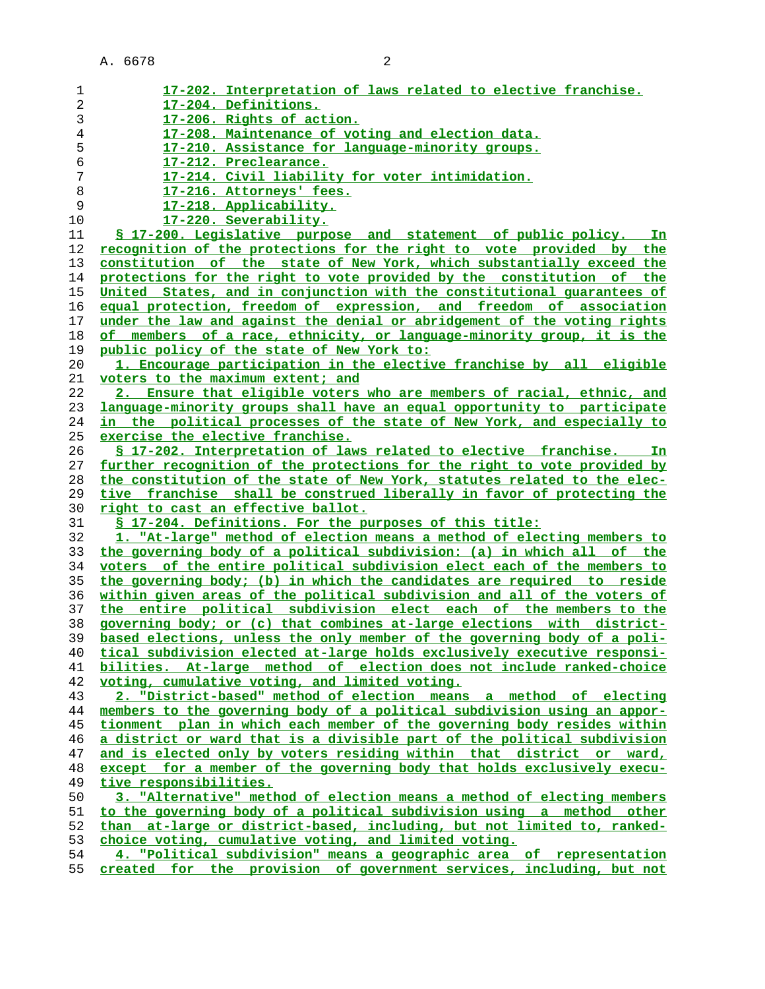| 1              | 17-202. Interpretation of laws related to elective franchise.              |
|----------------|----------------------------------------------------------------------------|
| $\overline{c}$ | 17-204. Definitions.                                                       |
| 3              | 17-206. Rights of action.                                                  |
| 4              | 17-208. Maintenance of voting and election data.                           |
|                |                                                                            |
| 5              | 17-210. Assistance for language-minority groups.                           |
| 6              | 17-212. Preclearance.                                                      |
| 7              | 17-214. Civil liability for voter intimidation.                            |
| 8              | 17-216. Attorneys' fees.                                                   |
| 9              | 17-218. Applicability.                                                     |
| 10             | 17-220. Severability.                                                      |
| 11             | <u>S 17-200. Legislative purpose and statement of public policy.</u><br>In |
| 12             | recognition of the protections for the right to vote provided by the       |
| 13             | constitution of the state of New York, which substantially exceed the      |
| 14             | protections for the right to vote provided by the constitution of the      |
| 15             | United States, and in conjunction with the constitutional quarantees of    |
| 16             | equal protection, freedom of expression, and freedom of association        |
| 17             | under the law and against the denial or abridgement of the voting rights   |
| 18             | of members of a race, ethnicity, or language-minority group, it is the     |
| 19             | public policy of the state of New York to:                                 |
| 20             | 1. Encourage participation in the elective franchise by all eligible       |
| 21             | voters to the maximum extent; and                                          |
| 22             | 2. Ensure that eligible voters who are members of racial, ethnic, and      |
| 23             | language-minority groups shall have an equal opportunity to participate    |
| 24             | in the political processes of the state of New York, and especially to     |
| 25             | exercise the elective franchise.                                           |
| 26             | § 17-202. Interpretation of laws related to elective franchise. In         |
| 27             | further recognition of the protections for the right to vote provided by   |
| 28             | the constitution of the state of New York, statutes related to the elec-   |
| 29             | tive franchise shall be construed liberally in favor of protecting the     |
| 30             | <u>right to cast an effective ballot.</u>                                  |
| 31             | § 17-204. Definitions. For the purposes of this title:                     |
| 32             | 1. "At-large" method of election means a method of electing members to     |
| 33             | the governing body of a political subdivision: (a) in which all of the     |
| 34             | voters of the entire political subdivision elect each of the members to    |
| 35             | the governing body; (b) in which the candidates are required to reside     |
| 36             | within given areas of the political subdivision and all of the voters of   |
| 37             | the entire political subdivision elect each of the members to the          |
| 38             | governing body; or (c) that combines at-large elections with district-     |
| 39             | based elections, unless the only member of the governing body of a poli-   |
| 40             | tical subdivision elected at-large holds exclusively executive responsi-   |
| 41             | bilities. At-large method of election does not include ranked-choice       |
| 42             | voting, cumulative voting, and limited voting.                             |
| 43             | 2. "District-based" method of election means a method of electing          |
| 44             | members to the governing body of a political subdivision using an appor-   |
| 45             | tionment plan in which each member of the governing body resides within    |
| 46             | a district or ward that is a divisible part of the political subdivision   |
| 47             | and is elected only by voters residing within that district or ward,       |
| 48             | except for a member of the governing body that holds exclusively execu-    |
| 49             | tive responsibilities.                                                     |
| 50             | 3. "Alternative" method of election means a method of electing members     |
| 51             | to the governing body of a political subdivision using a method other      |
| 52             | than at-large or district-based, including, but not limited to, ranked-    |
| 53             | choice voting, cumulative voting, and limited voting.                      |
| 54             | 4. "Political subdivision" means a geographic area of representation       |
| 55             | created for the provision of government services, including, but not       |
|                |                                                                            |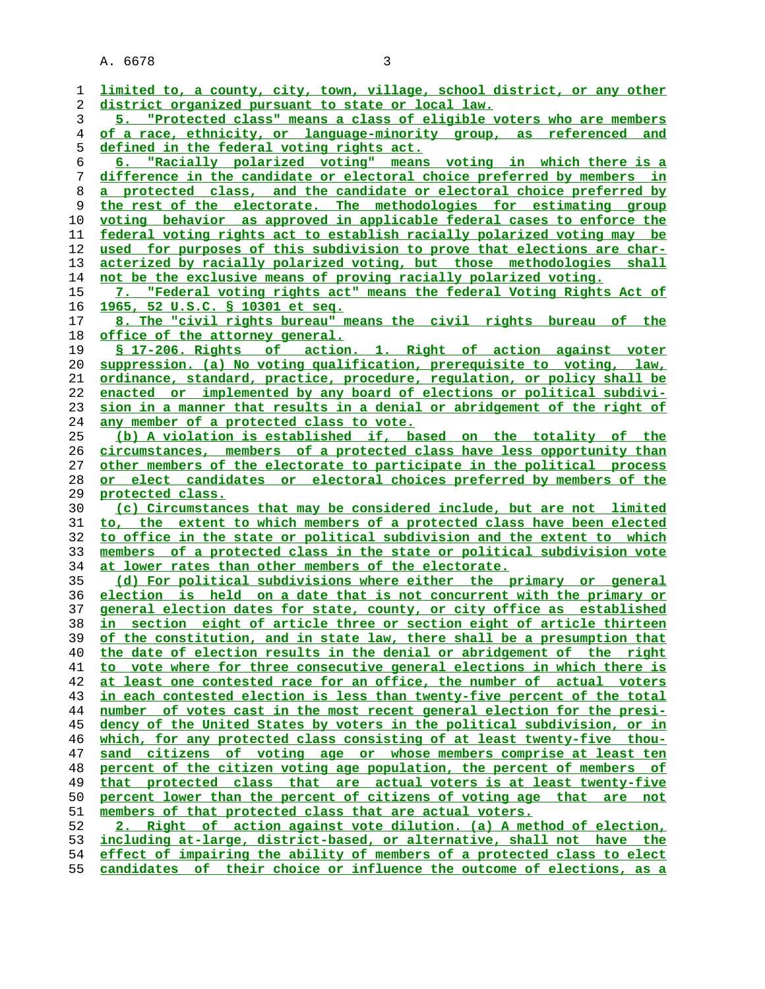| ı  | limited to, a county, city, town, village, school district, or any other                                                                           |
|----|----------------------------------------------------------------------------------------------------------------------------------------------------|
| 2  | district organized pursuant to state or local law.                                                                                                 |
| 3  | 5. "Protected class" means a class of eligible voters who are members                                                                              |
| 4  | of a race, ethnicity, or language-minority group, as referenced and                                                                                |
| 5  | defined in the federal voting rights act.                                                                                                          |
| 6  | 6. "Racially polarized voting" means voting in which there is a                                                                                    |
| 7  | difference in the candidate or electoral choice preferred by members in                                                                            |
| 8  | a protected class, and the candidate or electoral choice preferred by                                                                              |
| 9  | the rest of the electorate. The methodologies for estimating group                                                                                 |
| 10 | voting behavior as approved in applicable federal cases to enforce the                                                                             |
| 11 | <u>federal voting rights act to establish racially polarized voting may be</u>                                                                     |
| 12 | used for purposes of this subdivision to prove that elections are char-                                                                            |
| 13 | acterized by racially polarized voting, but those methodologies shall                                                                              |
| 14 | not be the exclusive means of proving racially polarized voting.                                                                                   |
| 15 | 7. "Federal voting rights act" means the federal Voting Rights Act of                                                                              |
| 16 | 1965, 52 U.S.C. § 10301 et seq.                                                                                                                    |
|    |                                                                                                                                                    |
| 17 | 8. The "civil rights bureau" means the civil rights bureau of the                                                                                  |
| 18 | office of the attorney general.                                                                                                                    |
| 19 | \$ 17-206. Rights of action. 1. Right of action against voter                                                                                      |
| 20 | suppression. (a) No voting qualification, prerequisite to voting, law,                                                                             |
| 21 | ordinance, standard, practice, procedure, regulation, or policy shall be                                                                           |
| 22 | enacted or implemented by any board of elections or political subdivi-                                                                             |
| 23 | sion in a manner that results in a denial or abridgement of the right of                                                                           |
| 24 | <u>any member of a protected class to vote.</u>                                                                                                    |
| 25 | (b) A violation is established if, based on the totality of the                                                                                    |
| 26 | circumstances, members of a protected class have less opportunity than                                                                             |
| 27 | other members of the electorate to participate in the political process                                                                            |
|    |                                                                                                                                                    |
| 28 | or elect candidates or electoral choices preferred by members of the                                                                               |
| 29 | protected class.                                                                                                                                   |
| 30 | (c) Circumstances that may be considered include, but are not limited                                                                              |
| 31 | to, the extent to which members of a protected class have been elected                                                                             |
| 32 | to office in the state or political subdivision and the extent to which                                                                            |
| 33 | members of a protected class in the state or political subdivision vote                                                                            |
| 34 | at lower rates than other members of the electorate.                                                                                               |
| 35 | (d) For political subdivisions where either the primary or general                                                                                 |
| 36 | election is held on a date that is not concurrent with the primary or                                                                              |
| 37 | general election dates for state, county, or city office as established                                                                            |
| 38 | in section eight of article three or section eight of article thirteen                                                                             |
| 39 | of the constitution, and in state law, there shall be a presumption that                                                                           |
| 40 | the date of election results in the denial or abridgement of the right                                                                             |
| 41 | to vote where for three consecutive general elections in which there is                                                                            |
| 42 | at least one contested race for an office, the number of actual voters                                                                             |
| 43 | in each contested election is less than twenty-five percent of the total                                                                           |
| 44 | number of votes cast in the most recent general election for the presi-                                                                            |
| 45 | dency of the United States by voters in the political subdivision, or in                                                                           |
| 46 | which, for any protected class consisting of at least twenty-five thou-                                                                            |
| 47 | <u>citizens of voting age or whose members comprise at least ten</u><br>sand                                                                       |
| 48 | percent of the citizen voting age population, the percent of members of                                                                            |
| 49 | <u>that protected class that are actual voters is at least twenty-five</u>                                                                         |
| 50 | percent lower than the percent of citizens of voting age that are not                                                                              |
| 51 | members of that protected class that are actual voters.                                                                                            |
| 52 | Right of action against vote dilution. (a) A method of election,                                                                                   |
| 53 | including at-large, district-based, or alternative, shall not have the<br>effect of impairing the ability of members of a protected class to elect |

**candidates of their choice or influence the outcome of elections, as a**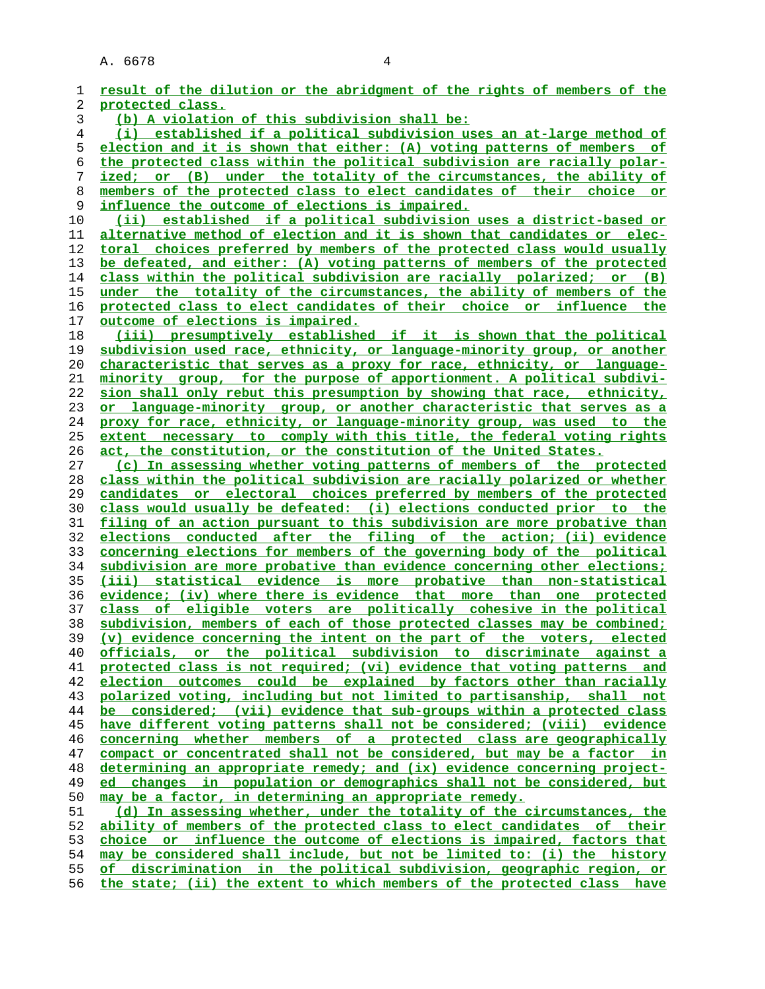**result of the dilution or the abridgment of the rights of members of the protected class. (b) A violation of this subdivision shall be: (i) established if a political subdivision uses an at-large method of election and it is shown that either: (A) voting patterns of members of the protected class within the political subdivision are racially polar- ized; or (B) under the totality of the circumstances, the ability of members of the protected class to elect candidates of their choice or influence the outcome of elections is impaired. (ii) established if a political subdivision uses a district-based or alternative method of election and it is shown that candidates or elec- toral choices preferred by members of the protected class would usually be defeated, and either: (A) voting patterns of members of the protected class within the political subdivision are racially polarized; or (B) under the totality of the circumstances, the ability of members of the protected class to elect candidates of their choice or influence the outcome of elections is impaired. (iii) presumptively established if it is shown that the political subdivision used race, ethnicity, or language-minority group, or another characteristic that serves as a proxy for race, ethnicity, or language- minority group, for the purpose of apportionment. A political subdivi- sion shall only rebut this presumption by showing that race, ethnicity, or language-minority group, or another characteristic that serves as a proxy for race, ethnicity, or language-minority group, was used to the extent necessary to comply with this title, the federal voting rights act, the constitution, or the constitution of the United States. (c) In assessing whether voting patterns of members of the protected class within the political subdivision are racially polarized or whether candidates or electoral choices preferred by members of the protected class would usually be defeated: (i) elections conducted prior to the filing of an action pursuant to this subdivision are more probative than elections conducted after the filing of the action; (ii) evidence concerning elections for members of the governing body of the political subdivision are more probative than evidence concerning other elections; (iii) statistical evidence is more probative than non-statistical evidence; (iv) where there is evidence that more than one protected class of eligible voters are politically cohesive in the political subdivision, members of each of those protected classes may be combined; (v) evidence concerning the intent on the part of the voters, elected officials, or the political subdivision to discriminate against a protected class is not required; (vi) evidence that voting patterns and election outcomes could be explained by factors other than racially polarized voting, including but not limited to partisanship, shall not be considered; (vii) evidence that sub-groups within a protected class have different voting patterns shall not be considered; (viii) evidence concerning whether members of a protected class are geographically compact or concentrated shall not be considered, but may be a factor in determining an appropriate remedy; and (ix) evidence concerning project- ed changes in population or demographics shall not be considered, but may be a factor, in determining an appropriate remedy. (d) In assessing whether, under the totality of the circumstances, the ability of members of the protected class to elect candidates of their choice or influence the outcome of elections is impaired, factors that may be considered shall include, but not be limited to: (i) the history of discrimination in the political subdivision, geographic region, or the state; (ii) the extent to which members of the protected class have**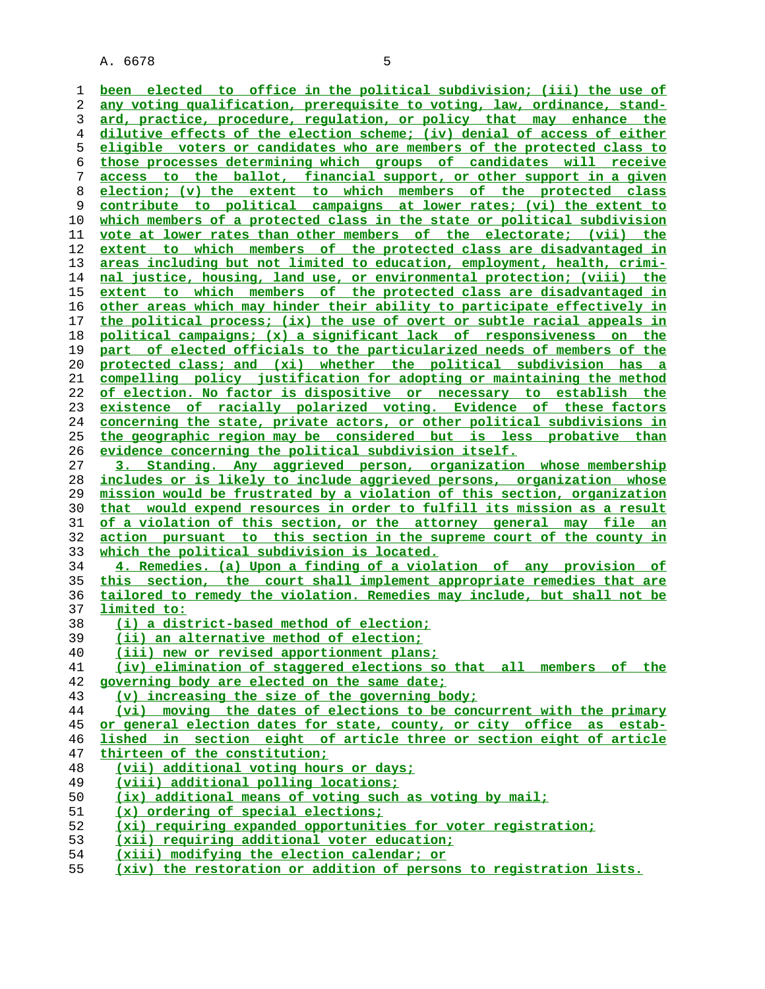**been elected to office in the political subdivision; (iii) the use of any voting qualification, prerequisite to voting, law, ordinance, stand- ard, practice, procedure, regulation, or policy that may enhance the dilutive effects of the election scheme; (iv) denial of access of either eligible voters or candidates who are members of the protected class to those processes determining which groups of candidates will receive access to the ballot, financial support, or other support in a given election; (v) the extent to which members of the protected class contribute to political campaigns at lower rates; (vi) the extent to which members of a protected class in the state or political subdivision vote at lower rates than other members of the electorate; (vii) the extent to which members of the protected class are disadvantaged in areas including but not limited to education, employment, health, crimi- nal justice, housing, land use, or environmental protection; (viii) the extent to which members of the protected class are disadvantaged in other areas which may hinder their ability to participate effectively in the political process; (ix) the use of overt or subtle racial appeals in political campaigns; (x) a significant lack of responsiveness on the part of elected officials to the particularized needs of members of the protected class; and (xi) whether the political subdivision has a compelling policy justification for adopting or maintaining the method of election. No factor is dispositive or necessary to establish the existence of racially polarized voting. Evidence of these factors concerning the state, private actors, or other political subdivisions in the geographic region may be considered but is less probative than evidence concerning the political subdivision itself. 3. Standing. Any aggrieved person, organization whose membership includes or is likely to include aggrieved persons, organization whose mission would be frustrated by a violation of this section, organization that would expend resources in order to fulfill its mission as a result of a violation of this section, or the attorney general may file an action pursuant to this section in the supreme court of the county in which the political subdivision is located. 4. Remedies. (a) Upon a finding of a violation of any provision of this section, the court shall implement appropriate remedies that are tailored to remedy the violation. Remedies may include, but shall not be limited to: (i) a district-based method of election; (ii) an alternative method of election; (iii) new or revised apportionment plans; (iv) elimination of staggered elections so that all members of the governing body are elected on the same date; (v) increasing the size of the governing body; (vi) moving the dates of elections to be concurrent with the primary or general election dates for state, county, or city office as estab- lished in section eight of article three or section eight of article thirteen of the constitution; (vii) additional voting hours or days; (viii) additional polling locations; (ix) additional means of voting such as voting by mail; (x) ordering of special elections; (xi) requiring expanded opportunities for voter registration; (xii) requiring additional voter education; (xiii) modifying the election calendar; or**

**(xiv) the restoration or addition of persons to registration lists.**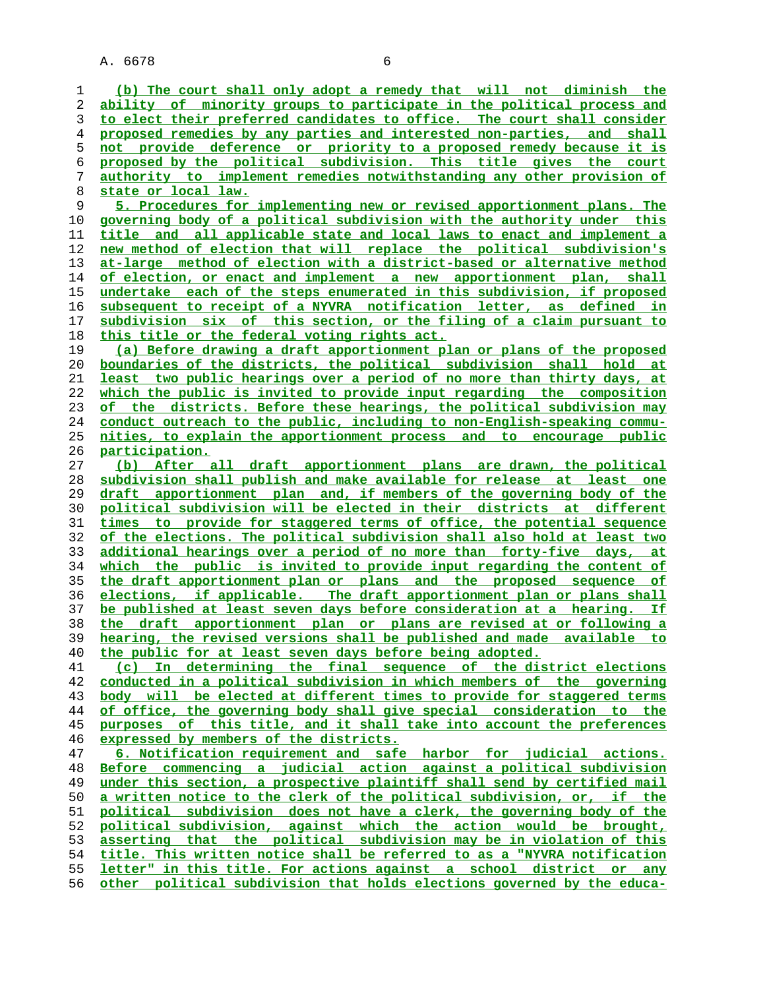**(b) The court shall only adopt a remedy that will not diminish the ability of minority groups to participate in the political process and to elect their preferred candidates to office. The court shall consider proposed remedies by any parties and interested non-parties, and shall not provide deference or priority to a proposed remedy because it is proposed by the political subdivision. This title gives the court authority to implement remedies notwithstanding any other provision of state or local law. 5. Procedures for implementing new or revised apportionment plans. The governing body of a political subdivision with the authority under this title and all applicable state and local laws to enact and implement a new method of election that will replace the political subdivision's at-large method of election with a district-based or alternative method of election, or enact and implement a new apportionment plan, shall undertake each of the steps enumerated in this subdivision, if proposed subsequent to receipt of a NYVRA notification letter, as defined in subdivision six of this section, or the filing of a claim pursuant to this title or the federal voting rights act. (a) Before drawing a draft apportionment plan or plans of the proposed boundaries of the districts, the political subdivision shall hold at least two public hearings over a period of no more than thirty days, at which the public is invited to provide input regarding the composition of the districts. Before these hearings, the political subdivision may conduct outreach to the public, including to non-English-speaking commu- nities, to explain the apportionment process and to encourage public participation. (b) After all draft apportionment plans are drawn, the political subdivision shall publish and make available for release at least one draft apportionment plan and, if members of the governing body of the political subdivision will be elected in their districts at different times to provide for staggered terms of office, the potential sequence of the elections. The political subdivision shall also hold at least two additional hearings over a period of no more than forty-five days, at which the public is invited to provide input regarding the content of the draft apportionment plan or plans and the proposed sequence of elections, if applicable. The draft apportionment plan or plans shall be published at least seven days before consideration at a hearing. If the draft apportionment plan or plans are revised at or following a hearing, the revised versions shall be published and made available to the public for at least seven days before being adopted. (c) In determining the final sequence of the district elections conducted in a political subdivision in which members of the governing body will be elected at different times to provide for staggered terms of office, the governing body shall give special consideration to the purposes of this title, and it shall take into account the preferences expressed by members of the districts. 6. Notification requirement and safe harbor for judicial actions. Before commencing a judicial action against a political subdivision** under this section, a prospective plaintiff shall send by certified mail **a written notice to the clerk of the political subdivision, or, if the political subdivision does not have a clerk, the governing body of the political subdivision, against which the action would be brought, asserting that the political subdivision may be in violation of this title. This written notice shall be referred to as a "NYVRA notification letter" in this title. For actions against a school district or any other political subdivision that holds elections governed by the educa-**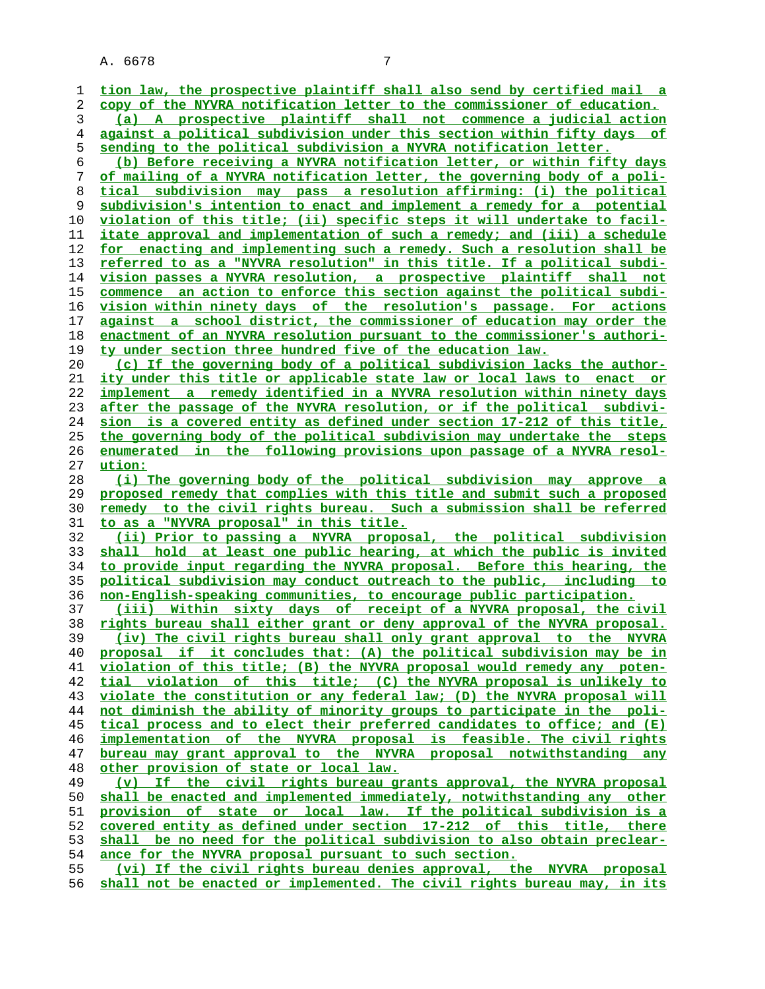| 1        | tion law, the prospective plaintiff shall also send by certified mail a                                                                          |
|----------|--------------------------------------------------------------------------------------------------------------------------------------------------|
| 2        | copy of the NYVRA notification letter to the commissioner of education.                                                                          |
| 3        | (a) A prospective plaintiff shall not commence a judicial action                                                                                 |
| 4        | against a political subdivision under this section within fifty days of                                                                          |
| 5        | sending to the political subdivision a NYVRA notification letter.                                                                                |
| 6        | (b) Before receiving a NYVRA notification letter, or within fifty days                                                                           |
| 7        | of mailing of a NYVRA notification letter, the governing body of a poli-                                                                         |
| 8        | tical subdivision may pass a resolution affirming: (i) the political                                                                             |
| 9        | subdivision's intention to enact and implement a remedy for a potential                                                                          |
| 10       | violation of this title; (ii) specific steps it will undertake to facil-                                                                         |
| 11       | itate approval and implementation of such a remedy; and (iii) a schedule                                                                         |
| 12       | for enacting and implementing such a remedy. Such a resolution shall be                                                                          |
| 13       | referred to as a "NYVRA resolution" in this title. If a political subdi-                                                                         |
| 14       | vision passes a NYVRA resolution, a prospective plaintiff shall not                                                                              |
| 15       | commence an action to enforce this section against the political subdi-                                                                          |
| 16       | vision within ninety days of the resolution's passage. For actions                                                                               |
| 17       | against a school district, the commissioner of education may order the                                                                           |
| 18       | enactment of an NYVRA resolution pursuant to the commissioner's authori-                                                                         |
| 19       | ty under section three hundred five of the education law.                                                                                        |
| 20       | (c) If the governing body of a political subdivision lacks the author-                                                                           |
| 21       | ity under this title or applicable state law or local laws to enact or                                                                           |
| 22       | implement a remedy identified in a NYVRA resolution within ninety days                                                                           |
| 23       | after the passage of the NYVRA resolution, or if the political subdivi-                                                                          |
| 24       | <u>sion is a covered entity as defined under section 17-212 of this title,</u>                                                                   |
| 25       | the governing body of the political subdivision may undertake the steps                                                                          |
| 26       | enumerated in the following provisions upon passage of a NYVRA resol-                                                                            |
| 27       | ution:                                                                                                                                           |
| 28       | (i) The governing body of the political subdivision may approve a                                                                                |
| 29       | proposed remedy that complies with this title and submit such a proposed                                                                         |
| 30       | remedy to the civil rights bureau. Such a submission shall be referred                                                                           |
| 31       | to as a "NYVRA proposal" in this title.                                                                                                          |
| 32       | (ii) Prior to passing a NYVRA proposal, the political subdivision                                                                                |
| 33       | shall hold at least one public hearing, at which the public is invited                                                                           |
| 34       | to provide input regarding the NYVRA proposal. Before this hearing, the                                                                          |
| 35       | political subdivision may conduct outreach to the public, including to                                                                           |
| 36       | <u>non-English-speaking communities, to encourage public participation.</u>                                                                      |
| 37       | (iii) Within sixty days of receipt of a NYVRA proposal, the civil                                                                                |
| 38       | rights bureau shall either grant or deny approval of the NYVRA proposal.                                                                         |
| 39       | (iv) The civil rights bureau shall only grant approval to the NYVRA                                                                              |
| 40       | proposal if it concludes that: (A) the political subdivision may be in                                                                           |
| 41       | violation of this title; (B) the NYVRA proposal would remedy any poten-                                                                          |
| 42       | tial violation of this title; (C) the NYVRA proposal is unlikely to                                                                              |
| 43       | violate the constitution or any federal law; (D) the NYVRA proposal will                                                                         |
| 44       | not diminish the ability of minority groups to participate in the poli-                                                                          |
| 45       | tical process and to elect their preferred candidates to office; and (E)                                                                         |
| 46<br>47 | implementation of the NYVRA proposal is feasible. The civil rights<br>bureau may grant approval to the NYVRA proposal notwithstanding any        |
| 48       | other provision of state or local law.                                                                                                           |
| 49       | (v) If the civil rights bureau grants approval, the NYVRA proposal                                                                               |
| 50       | shall be enacted and implemented immediately, notwithstanding any other                                                                          |
| 51       |                                                                                                                                                  |
| 52       | <u>provision of state or local law. If the political subdivision is a</u><br>covered entity as defined under section 17-212 of this title, there |
| 53       | shall be no need for the political subdivision to also obtain preclear-                                                                          |
| 54       | ance for the NYVRA proposal pursuant to such section.                                                                                            |
| 55       |                                                                                                                                                  |
|          |                                                                                                                                                  |
| 56       | (vi) If the civil rights bureau denies approval, the NYVRA proposal<br>shall not be enacted or implemented. The civil rights bureau may, in its  |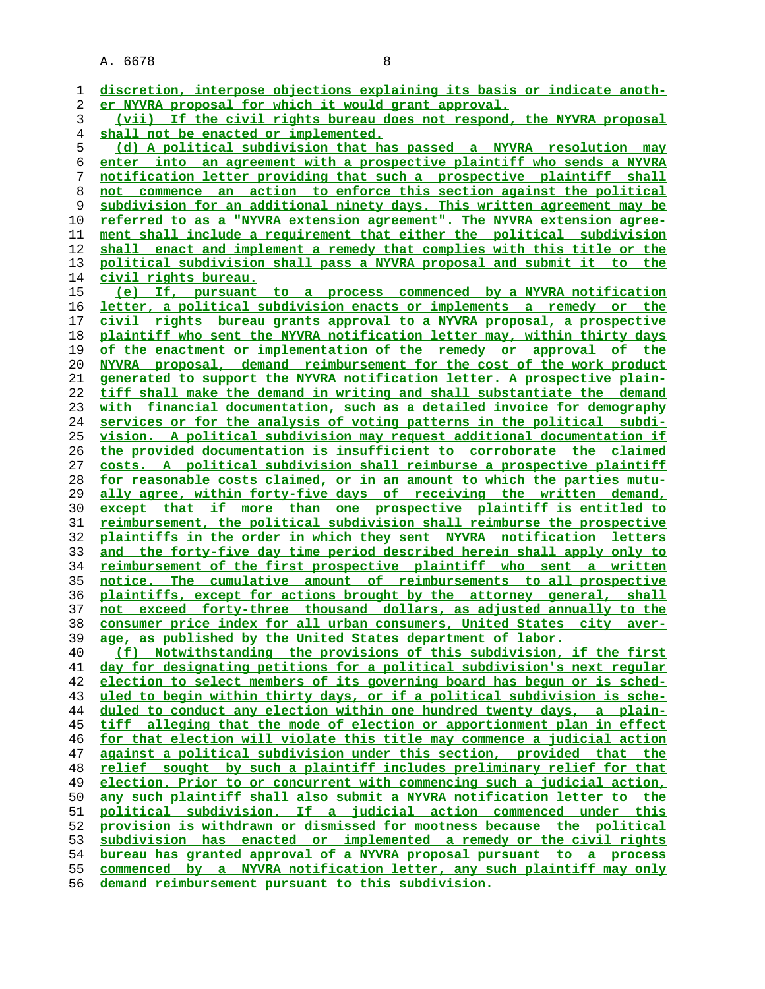**discretion, interpose objections explaining its basis or indicate anoth- er NYVRA proposal for which it would grant approval. (vii) If the civil rights bureau does not respond, the NYVRA proposal shall not be enacted or implemented. (d) A political subdivision that has passed a NYVRA resolution may enter into an agreement with a prospective plaintiff who sends a NYVRA notification letter providing that such a prospective plaintiff shall not commence an action to enforce this section against the political subdivision for an additional ninety days. This written agreement may be referred to as a "NYVRA extension agreement". The NYVRA extension agree- ment shall include a requirement that either the political subdivision shall enact and implement a remedy that complies with this title or the political subdivision shall pass a NYVRA proposal and submit it to the civil rights bureau. (e) If, pursuant to a process commenced by a NYVRA notification letter, a political subdivision enacts or implements a remedy or the civil rights bureau grants approval to a NYVRA proposal, a prospective plaintiff who sent the NYVRA notification letter may, within thirty days of the enactment or implementation of the remedy or approval of the NYVRA proposal, demand reimbursement for the cost of the work product generated to support the NYVRA notification letter. A prospective plain- tiff shall make the demand in writing and shall substantiate the demand with financial documentation, such as a detailed invoice for demography services or for the analysis of voting patterns in the political subdi- vision. A political subdivision may request additional documentation if the provided documentation is insufficient to corroborate the claimed costs. A political subdivision shall reimburse a prospective plaintiff for reasonable costs claimed, or in an amount to which the parties mutu- ally agree, within forty-five days of receiving the written demand, except that if more than one prospective plaintiff is entitled to reimbursement, the political subdivision shall reimburse the prospective plaintiffs in the order in which they sent NYVRA notification letters and the forty-five day time period described herein shall apply only to reimbursement of the first prospective plaintiff who sent a written notice. The cumulative amount of reimbursements to all prospective plaintiffs, except for actions brought by the attorney general, shall not exceed forty-three thousand dollars, as adjusted annually to the consumer price index for all urban consumers, United States city aver- age, as published by the United States department of labor. (f) Notwithstanding the provisions of this subdivision, if the first day for designating petitions for a political subdivision's next regular election to select members of its governing board has begun or is sched- uled to begin within thirty days, or if a political subdivision is sche- duled to conduct any election within one hundred twenty days, a plain- tiff alleging that the mode of election or apportionment plan in effect for that election will violate this title may commence a judicial action against a political subdivision under this section, provided that the relief sought by such a plaintiff includes preliminary relief for that election. Prior to or concurrent with commencing such a judicial action, any such plaintiff shall also submit a NYVRA notification letter to the political subdivision. If a judicial action commenced under this provision is withdrawn or dismissed for mootness because the political subdivision has enacted or implemented a remedy or the civil rights bureau has granted approval of a NYVRA proposal pursuant to a process commenced by a NYVRA notification letter, any such plaintiff may only demand reimbursement pursuant to this subdivision.**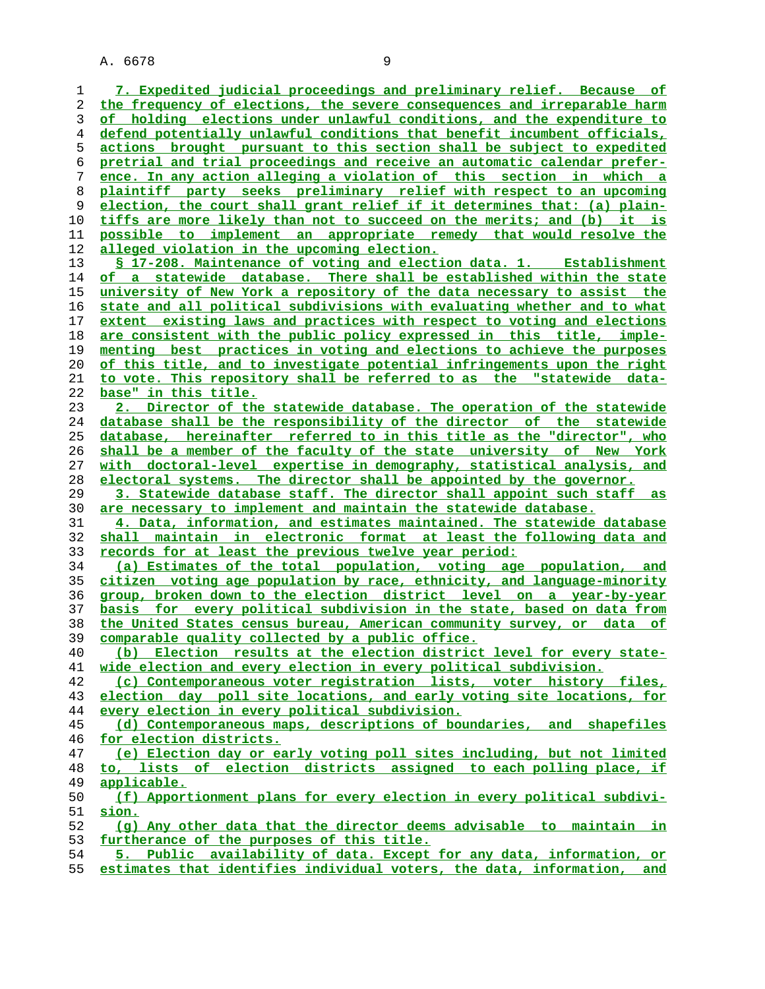**7. Expedited judicial proceedings and preliminary relief. Because of the frequency of elections, the severe consequences and irreparable harm of holding elections under unlawful conditions, and the expenditure to defend potentially unlawful conditions that benefit incumbent officials, actions brought pursuant to this section shall be subject to expedited pretrial and trial proceedings and receive an automatic calendar prefer- ence. In any action alleging a violation of this section in which a plaintiff party seeks preliminary relief with respect to an upcoming election, the court shall grant relief if it determines that: (a) plain- tiffs are more likely than not to succeed on the merits; and (b) it is possible to implement an appropriate remedy that would resolve the alleged violation in the upcoming election. § 17-208. Maintenance of voting and election data. 1. Establishment of a statewide database. There shall be established within the state university of New York a repository of the data necessary to assist the state and all political subdivisions with evaluating whether and to what extent existing laws and practices with respect to voting and elections are consistent with the public policy expressed in this title, imple- menting best practices in voting and elections to achieve the purposes of this title, and to investigate potential infringements upon the right to vote. This repository shall be referred to as the "statewide data- base" in this title. 2. Director of the statewide database. The operation of the statewide database shall be the responsibility of the director of the statewide database, hereinafter referred to in this title as the "director", who shall be a member of the faculty of the state university of New York with doctoral-level expertise in demography, statistical analysis, and electoral systems. The director shall be appointed by the governor. 3. Statewide database staff. The director shall appoint such staff as are necessary to implement and maintain the statewide database. 4. Data, information, and estimates maintained. The statewide database shall maintain in electronic format at least the following data and records for at least the previous twelve year period: (a) Estimates of the total population, voting age population, and citizen voting age population by race, ethnicity, and language-minority group, broken down to the election district level on a year-by-year basis for every political subdivision in the state, based on data from the United States census bureau, American community survey, or data of comparable quality collected by a public office. (b) Election results at the election district level for every state- wide election and every election in every political subdivision. (c) Contemporaneous voter registration lists, voter history files, election day poll site locations, and early voting site locations, for every election in every political subdivision. (d) Contemporaneous maps, descriptions of boundaries, and shapefiles for election districts. (e) Election day or early voting poll sites including, but not limited to, lists of election districts assigned to each polling place, if applicable. (f) Apportionment plans for every election in every political subdivi- sion. (g) Any other data that the director deems advisable to maintain in furtherance of the purposes of this title. 5. Public availability of data. Except for any data, information, or estimates that identifies individual voters, the data, information, and**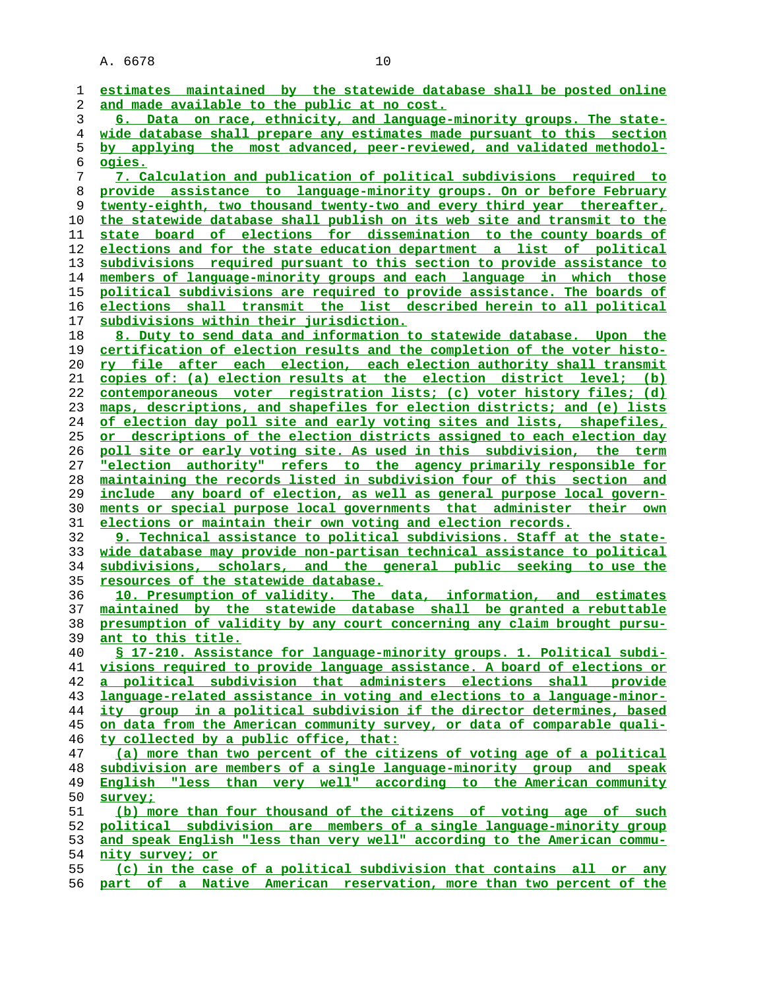| 1              | estimates maintained by the statewide database shall be posted online    |
|----------------|--------------------------------------------------------------------------|
| 2              | and made available to the public at no cost.                             |
| 3              | 6. Data on race, ethnicity, and language-minority groups. The state-     |
| $\overline{4}$ | wide database shall prepare any estimates made pursuant to this section  |
|                | by applying the most advanced, peer-reviewed, and validated methodol-    |
| 5              |                                                                          |
| б              | ogies.                                                                   |
| 7              | 7. Calculation and publication of political subdivisions required to     |
| 8              | provide assistance to language-minority groups. On or before February    |
| 9              | twenty-eighth, two thousand twenty-two and every third year thereafter,  |
| 10             | the statewide database shall publish on its web site and transmit to the |
| 11             | state board of elections for dissemination to the county boards of       |
| 12             | elections and for the state education department a list of political     |
| 13             | subdivisions required pursuant to this section to provide assistance to  |
| 14             | members of language-minority groups and each language in which those     |
| 15             | political subdivisions are required to provide assistance. The boards of |
| 16             | elections shall transmit the list described herein to all political      |
| 17             | subdivisions within their jurisdiction.                                  |
| 18             | 8. Duty to send data and information to statewide database. Upon the     |
| 19             | certification of election results and the completion of the voter histo- |
| 20             | ry file after each election, each election authority shall transmit      |
| 21             | copies of: (a) election results at the election district level; (b)      |
| 22             | contemporaneous voter registration lists; (c) voter history files; (d)   |
| 23             | maps, descriptions, and shapefiles for election districts; and (e) lists |
|                |                                                                          |
| 24             | of election day poll site and early voting sites and lists, shapefiles,  |
| 25             | or descriptions of the election districts assigned to each election day  |
| 26             | poll site or early voting site. As used in this subdivision, the term    |
| 27             | "election authority" refers to the agency primarily responsible for      |
| 28             | maintaining the records listed in subdivision four of this section and   |
| 29             | include any board of election, as well as general purpose local govern-  |
| 30             | ments or special purpose local governments that administer their own     |
| 31             | elections or maintain their own voting and election records.             |
| 32             | 9. Technical assistance to political subdivisions. Staff at the state-   |
| 33             | wide database may provide non-partisan technical assistance to political |
| 34             | subdivisions, scholars, and the general public seeking to use the        |
| 35             | resources of the statewide database.                                     |
| 36             | 10. Presumption of validity. The data, information, and estimates        |
| 37             | maintained by the statewide database shall be granted a rebuttable       |
| 38             | presumption of validity by any court concerning any claim brought pursu- |
| 39             | ant to this title.                                                       |
| 40             | § 17-210. Assistance for language-minority groups. 1. Political subdi-   |
| 41             | visions required to provide language assistance. A board of elections or |
| 42             | a political subdivision that administers elections shall provide         |
| 43             | language-related assistance in voting and elections to a language-minor- |
| 44             | ity group in a political subdivision if the director determines, based   |
| 45             | on data from the American community survey, or data of comparable quali- |
| 46             | ty collected by a public office, that:                                   |
| 47             | (a) more than two percent of the citizens of voting age of a political   |
| 48             | subdivision are members of a single language-minority group and speak    |
| 49             | English "less than very well" according to the American community        |
| 50             | survey;                                                                  |
| 51             | (b) more than four thousand of the citizens of voting age of such        |
| 52             | political subdivision are members of a single language-minority group    |
| 53             | and speak English "less than very well" according to the American commu- |
| 54             | <u>nity survey; or</u>                                                   |
| 55             | (c) in the case of a political subdivision that contains all or any      |
| 56             | part of a Native American reservation, more than two percent of the      |
|                |                                                                          |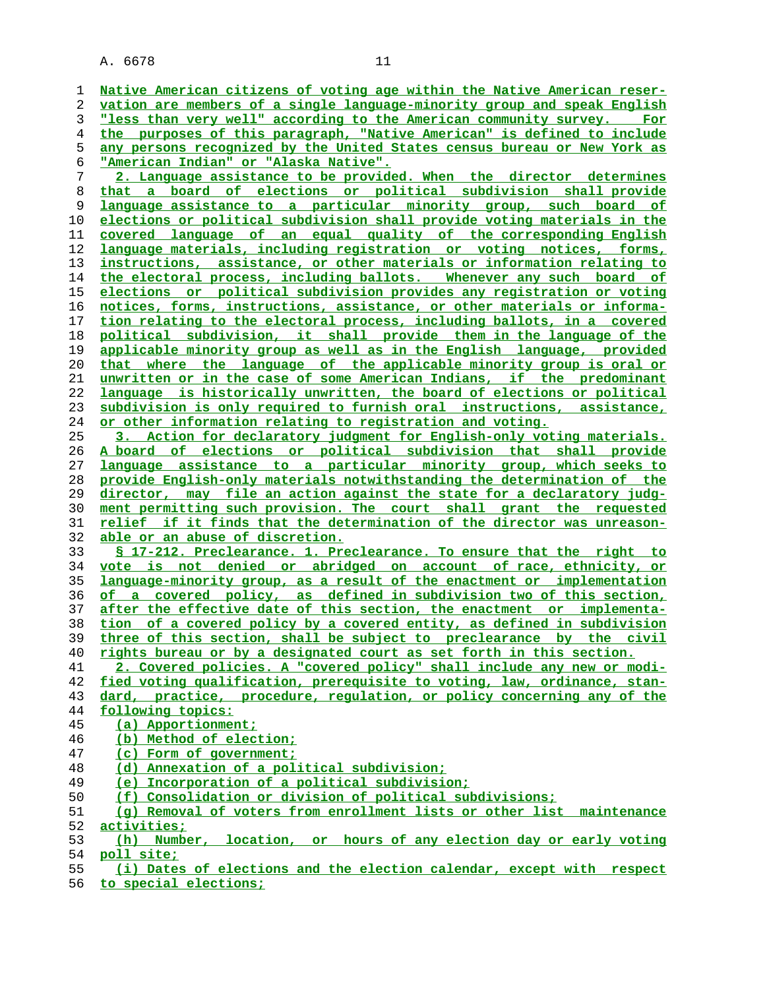| 1  | Native American citizens of voting age within the Native American reser- |
|----|--------------------------------------------------------------------------|
| 2  | vation are members of a single language-minority group and speak English |
| 3  | "less than very well" according to the American community survey. For    |
| 4  | the purposes of this paragraph, "Native American" is defined to include  |
| 5  | any persons recognized by the United States census bureau or New York as |
| 6  | <u> "American Indian" or "Alaska Native".</u>                            |
| 7  | 2. Language assistance to be provided. When the director determines      |
| 8  | that a board of elections or political subdivision shall provide         |
| 9  | language assistance to a particular minority group, such board of        |
| 10 | elections or political subdivision shall provide voting materials in the |
| 11 | covered language of an equal quality of the corresponding English        |
| 12 | language materials, including registration or voting notices, forms,     |
| 13 | instructions, assistance, or other materials or information relating to  |
| 14 | the electoral process, including ballots. Whenever any such board of     |
| 15 | elections or political subdivision provides any registration or voting   |
| 16 | notices, forms, instructions, assistance, or other materials or informa- |
| 17 | tion relating to the electoral process, including ballots, in a covered  |
| 18 | political subdivision, it shall provide them in the language of the      |
|    | applicable minority group as well as in the English language, provided   |
| 19 |                                                                          |
| 20 | that where the language of the applicable minority group is oral or      |
| 21 | unwritten or in the case of some American Indians, if the predominant    |
| 22 | language is historically unwritten, the board of elections or political  |
| 23 | subdivision is only required to furnish oral instructions, assistance,   |
| 24 | or other information relating to registration and voting.                |
| 25 | 3. Action for declaratory judgment for English-only voting materials.    |
| 26 | A board of elections or political subdivision that shall provide         |
| 27 | language assistance to a particular minority group, which seeks to       |
| 28 | provide English-only materials notwithstanding the determination of the  |
| 29 | director, may file an action against the state for a declaratory judg-   |
| 30 | ment permitting such provision. The court shall grant the requested      |
| 31 | relief if it finds that the determination of the director was unreason-  |
| 32 | able or an abuse of discretion.                                          |
| 33 | § 17-212. Preclearance. 1. Preclearance. To ensure that the right to     |
| 34 | vote is not denied or abridged on account of race, ethnicity, or         |
| 35 | language-minority group, as a result of the enactment or implementation  |
| 36 | of a covered policy, as defined in subdivision two of this section,      |
| 37 | after the effective date of this section, the enactment or implementa-   |
| 38 | tion of a covered policy by a covered entity, as defined in subdivision  |
| 39 | three of this section, shall be subject to preclearance by the civil     |
| 40 | rights bureau or by a designated court as set forth in this section.     |
| 41 | 2. Covered policies. A "covered policy" shall include any new or modi-   |
| 42 | fied voting qualification, prerequisite to voting, law, ordinance, stan- |
| 43 | dard, practice, procedure, regulation, or policy concerning any of the   |
| 44 | following topics:                                                        |
| 45 | (a) Apportionment;                                                       |
| 46 | (b) Method of election;                                                  |
| 47 | (c) Form of government;                                                  |
| 48 | (d) Annexation of a political subdivision;                               |
| 49 | (e) Incorporation of a political subdivision;                            |
| 50 | (f) Consolidation or division of political subdivisions;                 |
| 51 | (q) Removal of voters from enrollment lists or other list maintenance    |
| 52 | activities;                                                              |
| 53 | (h) Number, location, or hours of any election day or early voting       |
| 54 | poll site;                                                               |
| 55 | (i) Dates of elections and the election calendar, except with respect    |

**to special elections;**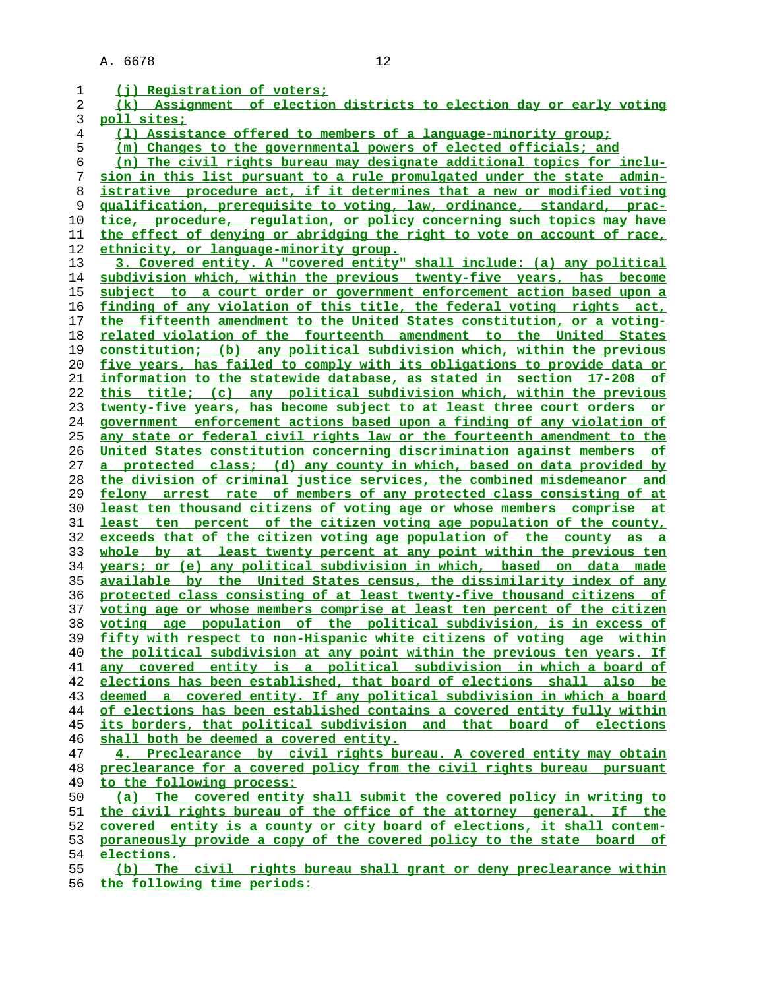| 1  | (i) Registration of voters;                                                   |
|----|-------------------------------------------------------------------------------|
| 2  | (k) Assignment of election districts to election day or early voting          |
| 3  | poll sites;                                                                   |
| 4  | (1) Assistance offered to members of a language-minority group;               |
| 5  | (m) Changes to the governmental powers of elected officials; and              |
| 6  | (n) The civil rights bureau may designate additional topics for inclu-        |
| 7  | sion in this list pursuant to a rule promulgated under the state admin-       |
| 8  | istrative procedure act, if it determines that a new or modified voting       |
| 9  | <u>qualification, prerequisite to voting, law, ordinance, standard, prac-</u> |
| 10 | tice, procedure, regulation, or policy concerning such topics may have        |
| 11 | the effect of denying or abridging the right to vote on account of race,      |
| 12 | ethnicity, or language-minority group.                                        |
| 13 | 3. Covered entity. A "covered entity" shall include: (a) any political        |
| 14 | subdivision which, within the previous twenty-five years, has become          |
| 15 | subject to a court order or government enforcement action based upon a        |
| 16 | finding of any violation of this title, the federal voting rights act,        |
| 17 | the fifteenth amendment to the United States constitution, or a voting-       |
| 18 | related violation of the fourteenth amendment to the United States            |
| 19 | constitution; (b) any political subdivision which, within the previous        |
| 20 | five years, has failed to comply with its obligations to provide data or      |
| 21 | information to the statewide database, as stated in section 17-208 of         |
| 22 | this title; (c) any political subdivision which, within the previous          |
| 23 | twenty-five years, has become subject to at least three court orders or       |
| 24 | government enforcement actions based upon a finding of any violation of       |
| 25 | any state or federal civil rights law or the fourteenth amendment to the      |
| 26 | United States constitution concerning discrimination against members of       |
| 27 | a protected class; (d) any county in which, based on data provided by         |
| 28 | the division of criminal justice services, the combined misdemeanor and       |
| 29 | felony arrest rate of members of any protected class consisting of at         |
| 30 | least ten thousand citizens of voting age or whose members comprise at        |
| 31 | least ten percent of the citizen voting age population of the county,         |
| 32 | exceeds that of the citizen voting age population of the county as a          |
| 33 | whole by at least twenty percent at any point within the previous ten         |
| 34 | years; or (e) any political subdivision in which, based on data made          |
| 35 | available by the United States census, the dissimilarity index of any         |
| 36 | protected class consisting of at least twenty-five thousand citizens of       |
| 37 | voting age or whose members comprise at least ten percent of the citizen      |
| 38 | voting age population of the political subdivision, is in excess of           |
| 39 | fifty with respect to non-Hispanic white citizens of voting age within        |
| 40 | the political subdivision at any point within the previous ten years. If      |
| 41 | any covered entity is a political subdivision in which a board of             |
| 42 | elections has been established, that board of elections shall also be         |
| 43 | deemed a covered entity. If any political subdivision in which a board        |
| 44 | of elections has been established contains a covered entity fully within      |
| 45 | its borders, that political subdivision and that board of elections           |
| 46 | shall both be deemed a covered entity.                                        |
| 47 | 4. Preclearance by civil rights bureau. A covered entity may obtain           |
| 48 | preclearance for a covered policy from the civil rights bureau pursuant       |
| 49 | to the following process:                                                     |
| 50 | (a) The covered entity shall submit the covered policy in writing to          |
| 51 | the civil rights bureau of the office of the attorney general. If the         |
| 52 | covered entity is a county or city board of elections, it shall contem-       |
| 53 | poraneously provide a copy of the covered policy to the state board of        |
| 54 | elections.                                                                    |
| 55 | (b) The civil rights bureau shall grant or deny preclearance within           |
| 56 | the following time periods:                                                   |
|    |                                                                               |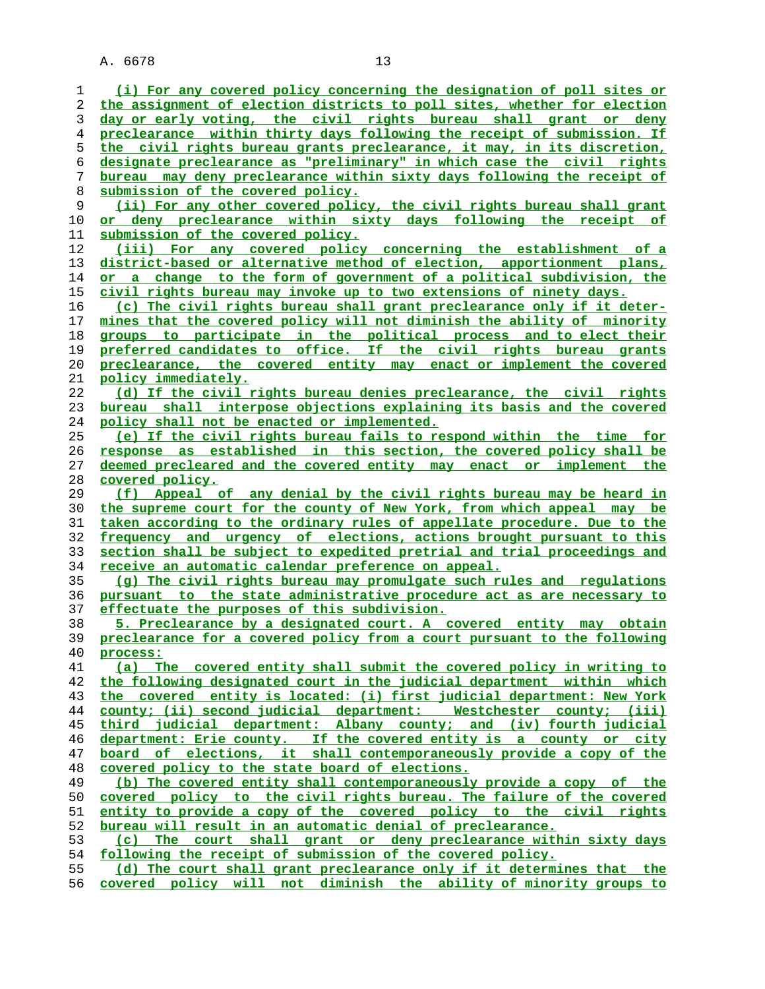| 1        | (i) For any covered policy concerning the designation of poll sites or                                                                         |
|----------|------------------------------------------------------------------------------------------------------------------------------------------------|
| 2        | the assignment of election districts to poll sites, whether for election                                                                       |
| 3        | day or early voting, the civil rights bureau shall grant or deny                                                                               |
| 4        | preclearance within thirty days following the receipt of submission. If                                                                        |
| 5        | the civil rights bureau grants preclearance, it may, in its discretion,                                                                        |
| 6        | designate preclearance as "preliminary" in which case the civil rights                                                                         |
| 7        | bureau may deny preclearance within sixty days following the receipt of                                                                        |
| 8        | submission of the covered policy.                                                                                                              |
| 9        | (ii) For any other covered policy, the civil rights bureau shall grant                                                                         |
| 10       | <u>or deny preclearance within sixty days following the receipt of</u>                                                                         |
| 11       | submission of the covered policy.                                                                                                              |
| 12       | (iii) For any covered policy concerning the establishment of a                                                                                 |
| 13       | district-based or alternative method of election, apportionment plans,                                                                         |
| 14       | or a change to the form of government of a political subdivision, the                                                                          |
| 15       | civil rights bureau may invoke up to two extensions of ninety days.                                                                            |
| 16       | (c) The civil rights bureau shall grant preclearance only if it deter-                                                                         |
| 17       | mines that the covered policy will not diminish the ability of minority                                                                        |
| 18       | groups to participate in the political process and to elect their                                                                              |
| 19       | preferred candidates to office. If the civil rights bureau grants                                                                              |
| 20       | preclearance, the covered entity may enact or implement the covered                                                                            |
| 21       | <u>policy immediately.</u>                                                                                                                     |
| 22       | (d) If the civil rights bureau denies preclearance, the civil rights                                                                           |
| 23       | bureau shall interpose objections explaining its basis and the covered                                                                         |
| 24       | policy shall not be enacted or implemented.                                                                                                    |
| 25       | (e) If the civil rights bureau fails to respond within the time for                                                                            |
| 26       | response as established in this section, the covered policy shall be                                                                           |
| 27       | deemed precleared and the covered entity may enact or implement the                                                                            |
| 28       | covered policy.                                                                                                                                |
| 29       | (f) Appeal of any denial by the civil rights bureau may be heard in                                                                            |
| 30       | the supreme court for the county of New York, from which appeal may be                                                                         |
| 31       | taken according to the ordinary rules of appellate procedure. Due to the                                                                       |
| 32       | frequency and urgency of elections, actions brought pursuant to this                                                                           |
| 33       | section shall be subject to expedited pretrial and trial proceedings and                                                                       |
| 34       | receive an automatic calendar preference on appeal.                                                                                            |
| 35       | (g) The civil rights bureau may promulgate such rules and regulations                                                                          |
| 36       | pursuant to the state administrative procedure act as are necessary to                                                                         |
| 37       | effectuate the purposes of this subdivision.                                                                                                   |
| 38<br>39 | 5. Preclearance by a designated court. A covered entity may obtain<br>preclearance for a covered policy from a court pursuant to the following |
| 40       |                                                                                                                                                |
| 41       | process:<br>(a) The covered entity shall submit the covered policy in writing to                                                               |
| 42       | the following designated court in the judicial department within which                                                                         |
| 43       | the covered entity is located: (i) first judicial department: New York                                                                         |
| 44       | county; (ii) second judicial department: Westchester county; (iii)                                                                             |
| 45       | third judicial department: Albany county; and (iv) fourth judicial                                                                             |
| 46       | department: Erie county. If the covered entity is a county or city                                                                             |
| 47       | board of elections, it shall contemporaneously provide a copy of the                                                                           |
| 48       | covered policy to the state board of elections.                                                                                                |
| 49       | (b) The covered entity shall contemporaneously provide a copy of the                                                                           |
| 50       | covered policy to the civil rights bureau. The failure of the covered                                                                          |
| 51       | entity to provide a copy of the covered policy to the civil rights                                                                             |
| 52       | bureau will result in an automatic denial of preclearance.                                                                                     |
| 53       | The court shall grant or deny preclearance within sixty days<br>(c)                                                                            |
| 54       | following the receipt of submission of the covered policy.                                                                                     |
| 55       | (d) The court shall grant preclearance only if it determines that the                                                                          |
| 56       | covered policy will not diminish the ability of minority groups to                                                                             |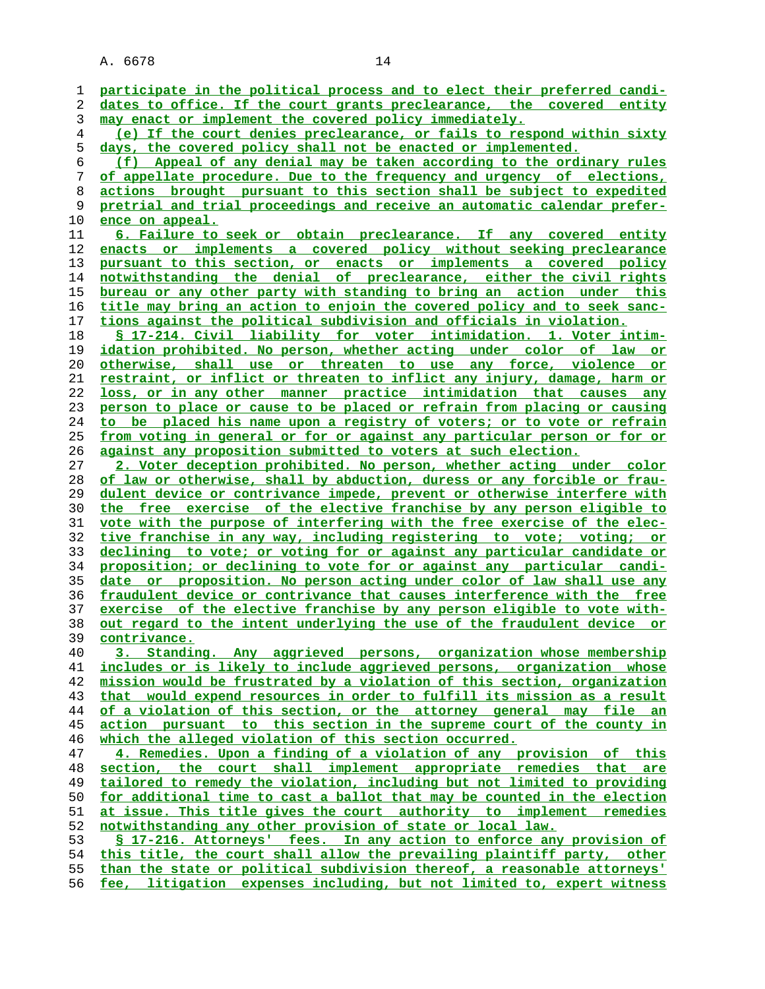| 1              | participate in the political process and to elect their preferred candi- |
|----------------|--------------------------------------------------------------------------|
| 2              | dates to office. If the court grants preclearance, the covered entity    |
| 3              | may enact or implement the covered policy immediately.                   |
| $\overline{4}$ | (e) If the court denies preclearance, or fails to respond within sixty   |
| 5              | days, the covered policy shall not be enacted or implemented.            |
| 6              |                                                                          |
|                | (f) Appeal of any denial may be taken according to the ordinary rules    |
| 7              | of appellate procedure. Due to the frequency and urgency of elections,   |
| 8              | actions brought pursuant to this section shall be subject to expedited   |
| 9              | pretrial and trial proceedings and receive an automatic calendar prefer- |
| 10             | ence on appeal.                                                          |
| 11             | 6. Failure to seek or obtain preclearance. If any covered entity         |
| 12             | enacts or implements a covered policy without seeking preclearance       |
| 13             |                                                                          |
|                | pursuant to this section, or enacts or implements a covered policy       |
| 14             | notwithstanding the denial of preclearance, either the civil rights      |
| 15             | bureau or any other party with standing to bring an action under this    |
| 16             | title may bring an action to enjoin the covered policy and to seek sanc- |
| 17             | tions against the political subdivision and officials in violation.      |
| 18             | \$ 17-214. Civil liability for voter intimidation. 1. Voter intim-       |
| 19             | idation prohibited. No person, whether acting under color of law or      |
| 20             | otherwise, shall use or threaten to use any force, violence or           |
| 21             | restraint, or inflict or threaten to inflict any injury, damage, harm or |
|                |                                                                          |
| 22             | loss, or in any other manner practice intimidation that causes any       |
| 23             | person to place or cause to be placed or refrain from placing or causing |
| 24             | to be placed his name upon a registry of voters; or to vote or refrain   |
| 25             | from voting in general or for or against any particular person or for or |
| 26             | against any proposition submitted to voters at such election.            |
| 27             | 2. Voter deception prohibited. No person, whether acting under color     |
| 28             | of law or otherwise, shall by abduction, duress or any forcible or frau- |
| 29             | dulent device or contrivance impede, prevent or otherwise interfere with |
| 30             | the free exercise of the elective franchise by any person eligible to    |
|                |                                                                          |
| 31             | vote with the purpose of interfering with the free exercise of the elec- |
| 32             | tive franchise in any way, including registering to vote; voting; or     |
| 33             | declining to vote; or voting for or against any particular candidate or  |
| 34             | proposition; or declining to vote for or against any particular candi-   |
| 35             | date or proposition. No person acting under color of law shall use any   |
| 36             | fraudulent device or contrivance that causes interference with the free  |
| 37             | exercise of the elective franchise by any person eligible to vote with-  |
| 38             | out regard to the intent underlying the use of the fraudulent device or  |
| 39             | contrivance.                                                             |
| 40             | 3. Standing. Any aggrieved persons, organization whose membership        |
|                |                                                                          |
| 41             | includes or is likely to include aggrieved persons, organization whose   |
| 42             | mission would be frustrated by a violation of this section, organization |
| 43             | that would expend resources in order to fulfill its mission as a result  |
| 44             | of a violation of this section, or the attorney general may file an      |
| 45             | action pursuant to this section in the supreme court of the county in    |
| 46             | which the alleged violation of this section occurred.                    |
| 47             | 4. Remedies. Upon a finding of a violation of any provision of this      |
| 48             | section, the court shall implement appropriate remedies that are         |
| 49             | tailored to remedy the violation, including but not limited to providing |
| 50             | for additional time to cast a ballot that may be counted in the election |
|                |                                                                          |
| 51             | at issue. This title gives the court authority to implement remedies     |
| 52             | notwithstanding any other provision of state or local law.               |
| 53             | \$ 17-216. Attorneys' fees. In any action to enforce any provision of    |
| 54             | this title, the court shall allow the prevailing plaintiff party, other  |
| 55             | than the state or political subdivision thereof, a reasonable attorneys' |
| 56             | fee, litigation expenses including, but not limited to, expert witness   |